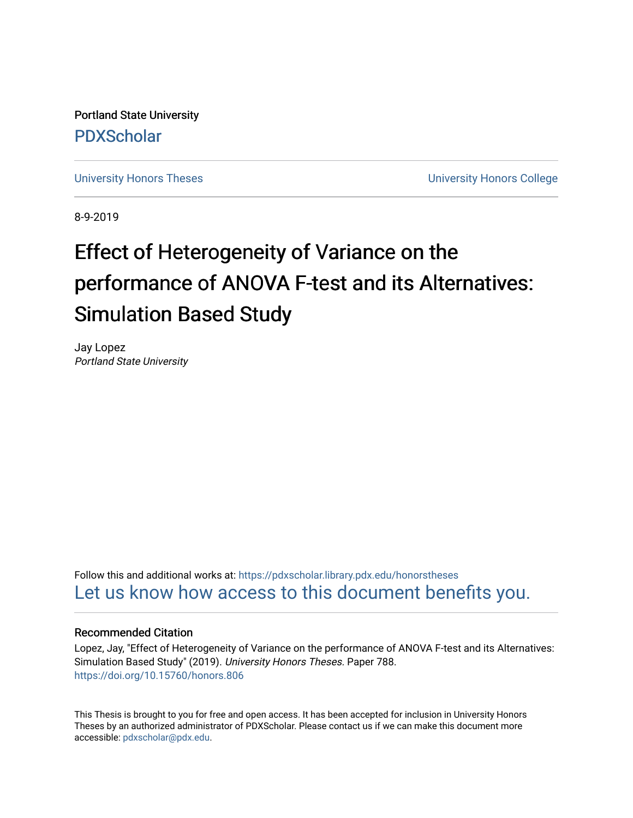Portland State University [PDXScholar](https://pdxscholar.library.pdx.edu/)

[University Honors Theses](https://pdxscholar.library.pdx.edu/honorstheses) **University Honors College** 

8-9-2019

# Effect of Heterogeneity of Variance on the performance of ANOVA F-test and its Alternatives: Simulation Based Study

Jay Lopez Portland State University

Follow this and additional works at: [https://pdxscholar.library.pdx.edu/honorstheses](https://pdxscholar.library.pdx.edu/honorstheses?utm_source=pdxscholar.library.pdx.edu%2Fhonorstheses%2F788&utm_medium=PDF&utm_campaign=PDFCoverPages)  [Let us know how access to this document benefits you.](http://library.pdx.edu/services/pdxscholar-services/pdxscholar-feedback/) 

#### Recommended Citation

Lopez, Jay, "Effect of Heterogeneity of Variance on the performance of ANOVA F-test and its Alternatives: Simulation Based Study" (2019). University Honors Theses. Paper 788. <https://doi.org/10.15760/honors.806>

This Thesis is brought to you for free and open access. It has been accepted for inclusion in University Honors Theses by an authorized administrator of PDXScholar. Please contact us if we can make this document more accessible: [pdxscholar@pdx.edu.](mailto:pdxscholar@pdx.edu)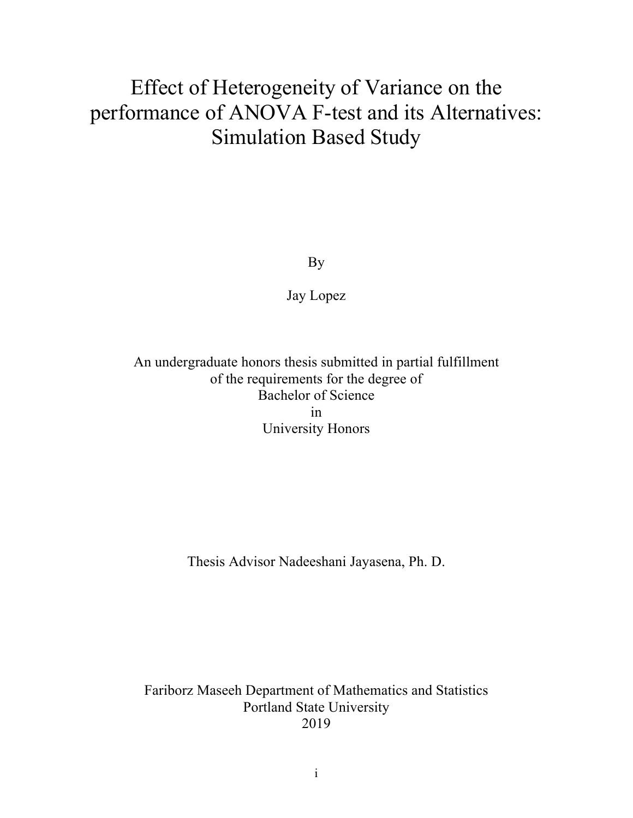## Effect of Heterogeneity of Variance on the performance of ANOVA F-test and its Alternatives: Simulation Based Study

By

Jay Lopez

### An undergraduate honors thesis submitted in partial fulfillment of the requirements for the degree of Bachelor of Science in University Honors

Thesis Advisor Nadeeshani Jayasena, Ph. D.

Fariborz Maseeh Department of Mathematics and Statistics Portland State University 2019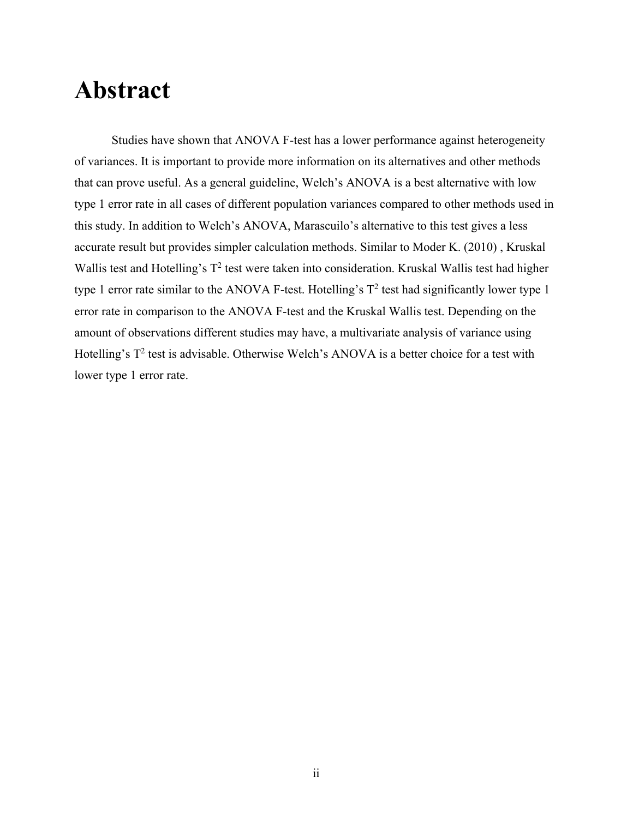## **Abstract**

Studies have shown that ANOVA F-test has a lower performance against heterogeneity of variances. It is important to provide more information on its alternatives and other methods that can prove useful. As a general guideline, Welch's ANOVA is a best alternative with low type 1 error rate in all cases of different population variances compared to other methods used in this study. In addition to Welch's ANOVA, Marascuilo's alternative to this test gives a less accurate result but provides simpler calculation methods. Similar to Moder K. (2010) , Kruskal Wallis test and Hotelling's  $T^2$  test were taken into consideration. Kruskal Wallis test had higher type 1 error rate similar to the ANOVA F-test. Hotelling's  $T^2$  test had significantly lower type 1 error rate in comparison to the ANOVA F-test and the Kruskal Wallis test. Depending on the amount of observations different studies may have, a multivariate analysis of variance using Hotelling's  $T^2$  test is advisable. Otherwise Welch's ANOVA is a better choice for a test with lower type 1 error rate.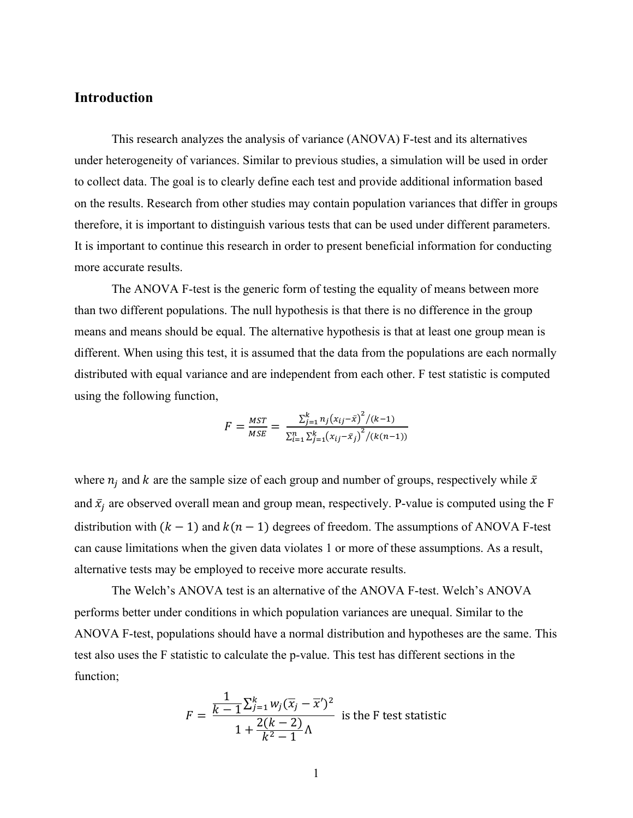#### **Introduction**

This research analyzes the analysis of variance (ANOVA) F-test and its alternatives under heterogeneity of variances. Similar to previous studies, a simulation will be used in order to collect data. The goal is to clearly define each test and provide additional information based on the results. Research from other studies may contain population variances that differ in groups therefore, it is important to distinguish various tests that can be used under different parameters. It is important to continue this research in order to present beneficial information for conducting more accurate results.

The ANOVA F-test is the generic form of testing the equality of means between more than two different populations. The null hypothesis is that there is no difference in the group means and means should be equal. The alternative hypothesis is that at least one group mean is different. When using this test, it is assumed that the data from the populations are each normally distributed with equal variance and are independent from each other. F test statistic is computed using the following function,

$$
F = \frac{MST}{MSE} = \frac{\sum_{j=1}^{k} n_j (x_{ij} - \bar{x})^2 / (k-1)}{\sum_{i=1}^{n} \sum_{j=1}^{k} (x_{ij} - \bar{x}_j)^2 / (k(n-1))}
$$

where  $n_i$  and k are the sample size of each group and number of groups, respectively while  $\bar{x}$ and  $\bar{x}_j$  are observed overall mean and group mean, respectively. P-value is computed using the F distribution with  $(k - 1)$  and  $k(n - 1)$  degrees of freedom. The assumptions of ANOVA F-test can cause limitations when the given data violates 1 or more of these assumptions. As a result, alternative tests may be employed to receive more accurate results.

The Welch's ANOVA test is an alternative of the ANOVA F-test. Welch's ANOVA performs better under conditions in which population variances are unequal. Similar to the ANOVA F-test, populations should have a normal distribution and hypotheses are the same. This test also uses the F statistic to calculate the p-value. This test has different sections in the function;

$$
F = \frac{\frac{1}{k-1} \sum_{j=1}^{k} w_j (\overline{x}_j - \overline{x}')^2}{1 + \frac{2(k-2)}{k^2 - 1} \Lambda}
$$
 is the F test statistic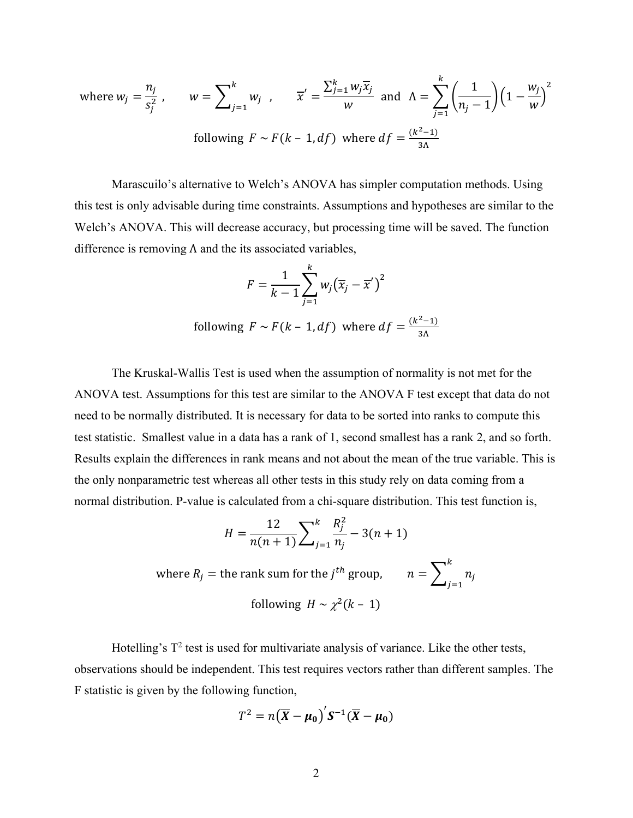where 
$$
w_j = \frac{n_j}{s_j^2}
$$
,  $w = \sum_{j=1}^k w_j$ ,  $\overline{x}' = \frac{\sum_{j=1}^k w_j \overline{x}_j}{w}$  and  $\Lambda = \sum_{j=1}^k \left(\frac{1}{n_j - 1}\right) \left(1 - \frac{w_j}{w}\right)^2$   
following  $F \sim F(k - 1, df)$  where  $df = \frac{(k^2 - 1)}{3\Lambda}$ 

Marascuilo's alternative to Welch's ANOVA has simpler computation methods. Using this test is only advisable during time constraints. Assumptions and hypotheses are similar to the Welch's ANOVA. This will decrease accuracy, but processing time will be saved. The function difference is removing  $\Lambda$  and the its associated variables,

$$
F = \frac{1}{k-1} \sum_{j=1}^{k} w_j (\overline{x}_j - \overline{x}')^2
$$
  
following  $F \sim F(k-1, df)$  where  $df = \frac{(k^2-1)}{3\Lambda}$ 

The Kruskal-Wallis Test is used when the assumption of normality is not met for the ANOVA test. Assumptions for this test are similar to the ANOVA F test except that data do not need to be normally distributed. It is necessary for data to be sorted into ranks to compute this test statistic. Smallest value in a data has a rank of 1, second smallest has a rank 2, and so forth. Results explain the differences in rank means and not about the mean of the true variable. This is the only nonparametric test whereas all other tests in this study rely on data coming from a normal distribution. P-value is calculated from a chi-square distribution. This test function is,

$$
H = \frac{12}{n(n+1)} \sum_{j=1}^{k} \frac{R_j^2}{n_j} - 3(n+1)
$$
  
where  $R_j$  = the rank sum for the  $j^{th}$  group,  $n = \sum_{j=1}^{k} n_j$   
following  $H \sim \chi^2(k-1)$ 

Hotelling's  $T^2$  test is used for multivariate analysis of variance. Like the other tests, observations should be independent. This test requires vectors rather than different samples. The F statistic is given by the following function,

$$
T^2 = n(\overline{X} - \mu_0)^{\prime} S^{-1}(\overline{X} - \mu_0)
$$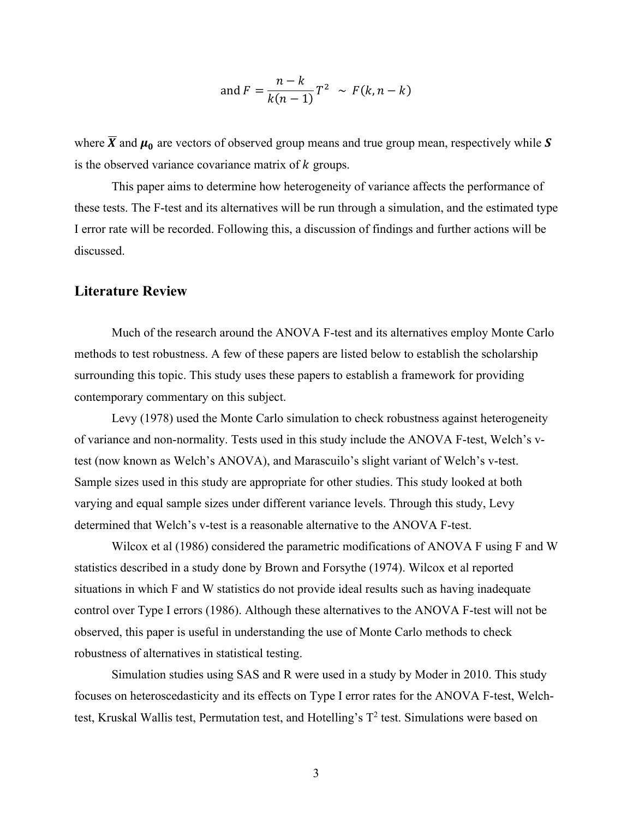and 
$$
F = \frac{n-k}{k(n-1)}T^2 \sim F(k, n-k)
$$

where  $\overline{X}$  and  $\mu_0$  are vectors of observed group means and true group mean, respectively while S is the observed variance covariance matrix of  $k$  groups.

This paper aims to determine how heterogeneity of variance affects the performance of these tests. The F-test and its alternatives will be run through a simulation, and the estimated type I error rate will be recorded. Following this, a discussion of findings and further actions will be discussed.

#### **Literature Review**

Much of the research around the ANOVA F-test and its alternatives employ Monte Carlo methods to test robustness. A few of these papers are listed below to establish the scholarship surrounding this topic. This study uses these papers to establish a framework for providing contemporary commentary on this subject.

Levy (1978) used the Monte Carlo simulation to check robustness against heterogeneity of variance and non-normality. Tests used in this study include the ANOVA F-test, Welch's vtest (now known as Welch's ANOVA), and Marascuilo's slight variant of Welch's v-test. Sample sizes used in this study are appropriate for other studies. This study looked at both varying and equal sample sizes under different variance levels. Through this study, Levy determined that Welch's v-test is a reasonable alternative to the ANOVA F-test.

Wilcox et al (1986) considered the parametric modifications of ANOVA F using F and W statistics described in a study done by Brown and Forsythe (1974). Wilcox et al reported situations in which F and W statistics do not provide ideal results such as having inadequate control over Type I errors (1986). Although these alternatives to the ANOVA F-test will not be observed, this paper is useful in understanding the use of Monte Carlo methods to check robustness of alternatives in statistical testing.

Simulation studies using SAS and R were used in a study by Moder in 2010. This study focuses on heteroscedasticity and its effects on Type I error rates for the ANOVA F-test, Welchtest, Kruskal Wallis test, Permutation test, and Hotelling's  $T^2$  test. Simulations were based on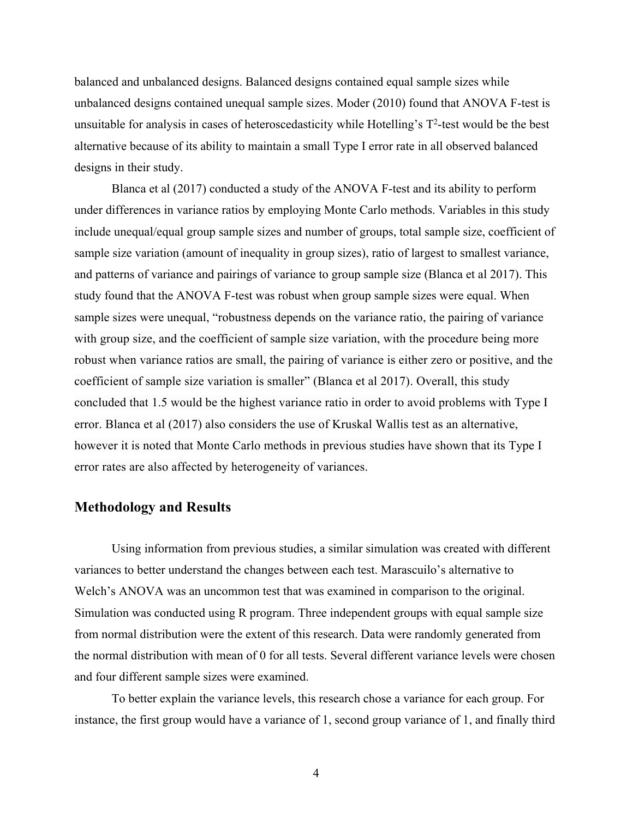balanced and unbalanced designs. Balanced designs contained equal sample sizes while unbalanced designs contained unequal sample sizes. Moder (2010) found that ANOVA F-test is unsuitable for analysis in cases of heteroscedasticity while Hotelling's  $T^2$ -test would be the best alternative because of its ability to maintain a small Type I error rate in all observed balanced designs in their study.

Blanca et al (2017) conducted a study of the ANOVA F-test and its ability to perform under differences in variance ratios by employing Monte Carlo methods. Variables in this study include unequal/equal group sample sizes and number of groups, total sample size, coefficient of sample size variation (amount of inequality in group sizes), ratio of largest to smallest variance, and patterns of variance and pairings of variance to group sample size (Blanca et al 2017). This study found that the ANOVA F-test was robust when group sample sizes were equal. When sample sizes were unequal, "robustness depends on the variance ratio, the pairing of variance with group size, and the coefficient of sample size variation, with the procedure being more robust when variance ratios are small, the pairing of variance is either zero or positive, and the coefficient of sample size variation is smaller" (Blanca et al 2017). Overall, this study concluded that 1.5 would be the highest variance ratio in order to avoid problems with Type I error. Blanca et al (2017) also considers the use of Kruskal Wallis test as an alternative, however it is noted that Monte Carlo methods in previous studies have shown that its Type I error rates are also affected by heterogeneity of variances.

#### **Methodology and Results**

Using information from previous studies, a similar simulation was created with different variances to better understand the changes between each test. Marascuilo's alternative to Welch's ANOVA was an uncommon test that was examined in comparison to the original. Simulation was conducted using R program. Three independent groups with equal sample size from normal distribution were the extent of this research. Data were randomly generated from the normal distribution with mean of 0 for all tests. Several different variance levels were chosen and four different sample sizes were examined.

To better explain the variance levels, this research chose a variance for each group. For instance, the first group would have a variance of 1, second group variance of 1, and finally third

4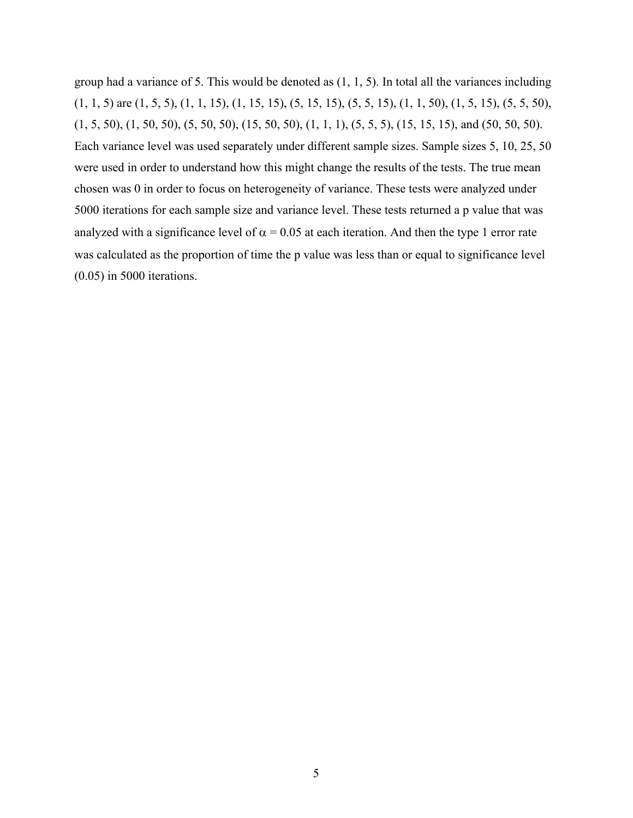group had a variance of 5. This would be denoted as  $(1, 1, 5)$ . In total all the variances including  $(1, 1, 5)$  are  $(1, 5, 5)$ ,  $(1, 1, 15)$ ,  $(1, 15, 15)$ ,  $(5, 15, 15)$ ,  $(5, 5, 15)$ ,  $(1, 1, 50)$ ,  $(1, 5, 15)$ ,  $(5, 5, 50)$ ,  $(1, 5, 50), (1, 50, 50), (5, 50, 50), (15, 50, 50), (1, 1, 1), (5, 5, 5), (15, 15, 15),$  and  $(50, 50, 50).$ Each variance level was used separately under different sample sizes. Sample sizes 5, 10, 25, 50 were used in order to understand how this might change the results of the tests. The true mean chosen was 0 in order to focus on heterogeneity of variance. These tests were analyzed under 5000 iterations for each sample size and variance level. These tests returned a p value that was analyzed with a significance level of  $\alpha = 0.05$  at each iteration. And then the type 1 error rate was calculated as the proportion of time the p value was less than or equal to significance level (0.05) in 5000 iterations.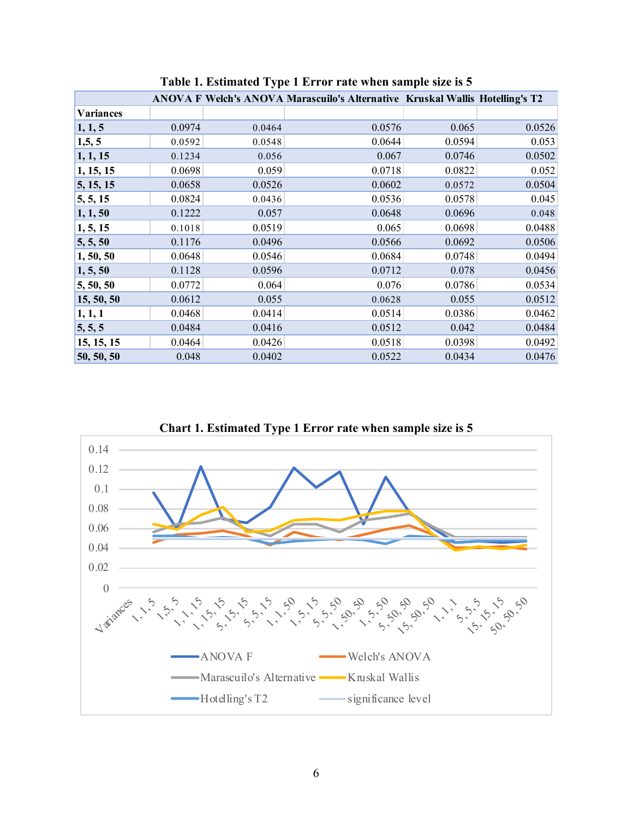|                  |        |        | ANOVA F Welch's ANOVA Marascuilo's Alternative Kruskal Wallis Hotelling's T2 |        |        |
|------------------|--------|--------|------------------------------------------------------------------------------|--------|--------|
| <b>Variances</b> |        |        |                                                                              |        |        |
| 1, 1, 5          | 0.0974 | 0.0464 | 0.0576                                                                       | 0.065  | 0.0526 |
| 1, 5, 5          | 0.0592 | 0.0548 | 0.0644                                                                       | 0.0594 | 0.053  |
| 1, 1, 15         | 0.1234 | 0.056  | 0.067                                                                        | 0.0746 | 0.0502 |
| 1, 15, 15        | 0.0698 | 0.059  | 0.0718                                                                       | 0.0822 | 0.052  |
| 5, 15, 15        | 0.0658 | 0.0526 | 0.0602                                                                       | 0.0572 | 0.0504 |
| 5, 5, 15         | 0.0824 | 0.0436 | 0.0536                                                                       | 0.0578 | 0.045  |
| 1, 1, 50         | 0.1222 | 0.057  | 0.0648                                                                       | 0.0696 | 0.048  |
| 1, 5, 15         | 0.1018 | 0.0519 | 0.065                                                                        | 0.0698 | 0.0488 |
| 5, 5, 50         | 0.1176 | 0.0496 | 0.0566                                                                       | 0.0692 | 0.0506 |
| 1, 50, 50        | 0.0648 | 0.0546 | 0.0684                                                                       | 0.0748 | 0.0494 |
| 1, 5, 50         | 0.1128 | 0.0596 | 0.0712                                                                       | 0.078  | 0.0456 |
| 5, 50, 50        | 0.0772 | 0.064  | 0.076                                                                        | 0.0786 | 0.0534 |
| 15, 50, 50       | 0.0612 | 0.055  | 0.0628                                                                       | 0.055  | 0.0512 |
| 1, 1, 1          | 0.0468 | 0.0414 | 0.0514                                                                       | 0.0386 | 0.0462 |
| 5, 5, 5          | 0.0484 | 0.0416 | 0.0512                                                                       | 0.042  | 0.0484 |
| 15, 15, 15       | 0.0464 | 0.0426 | 0.0518                                                                       | 0.0398 | 0.0492 |
| 50, 50, 50       | 0.048  | 0.0402 | 0.0522                                                                       | 0.0434 | 0.0476 |

**Table 1. Estimated Type 1 Error rate when sample size is 5**



**Chart 1. Estimated Type 1 Error rate when sample size is 5**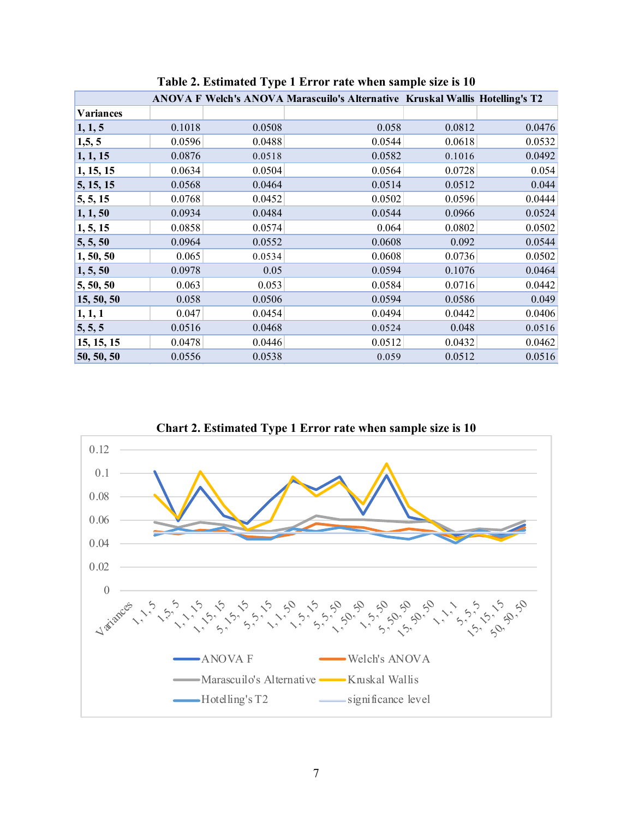|                  |        |        | ANOVA F Welch's ANOVA Marascuilo's Alternative Kruskal Wallis Hotelling's T2 |        |        |
|------------------|--------|--------|------------------------------------------------------------------------------|--------|--------|
| <b>Variances</b> |        |        |                                                                              |        |        |
| 1, 1, 5          | 0.1018 | 0.0508 | 0.058                                                                        | 0.0812 | 0.0476 |
| 1, 5, 5          | 0.0596 | 0.0488 | 0.0544                                                                       | 0.0618 | 0.0532 |
| 1, 1, 15         | 0.0876 | 0.0518 | 0.0582                                                                       | 0.1016 | 0.0492 |
| 1, 15, 15        | 0.0634 | 0.0504 | 0.0564                                                                       | 0.0728 | 0.054  |
| 5, 15, 15        | 0.0568 | 0.0464 | 0.0514                                                                       | 0.0512 | 0.044  |
| 5, 5, 15         | 0.0768 | 0.0452 | 0.0502                                                                       | 0.0596 | 0.0444 |
| 1, 1, 50         | 0.0934 | 0.0484 | 0.0544                                                                       | 0.0966 | 0.0524 |
| 1, 5, 15         | 0.0858 | 0.0574 | 0.064                                                                        | 0.0802 | 0.0502 |
| 5, 5, 50         | 0.0964 | 0.0552 | 0.0608                                                                       | 0.092  | 0.0544 |
| 1, 50, 50        | 0.065  | 0.0534 | 0.0608                                                                       | 0.0736 | 0.0502 |
| 1, 5, 50         | 0.0978 | 0.05   | 0.0594                                                                       | 0.1076 | 0.0464 |
| 5, 50, 50        | 0.063  | 0.053  | 0.0584                                                                       | 0.0716 | 0.0442 |
| 15, 50, 50       | 0.058  | 0.0506 | 0.0594                                                                       | 0.0586 | 0.049  |
| 1, 1, 1          | 0.047  | 0.0454 | 0.0494                                                                       | 0.0442 | 0.0406 |
| 5, 5, 5          | 0.0516 | 0.0468 | 0.0524                                                                       | 0.048  | 0.0516 |
| 15, 15, 15       | 0.0478 | 0.0446 | 0.0512                                                                       | 0.0432 | 0.0462 |
| 50, 50, 50       | 0.0556 | 0.0538 | 0.059                                                                        | 0.0512 | 0.0516 |

**Table 2. Estimated Type 1 Error rate when sample size is 10**



**Chart 2. Estimated Type 1 Error rate when sample size is 10**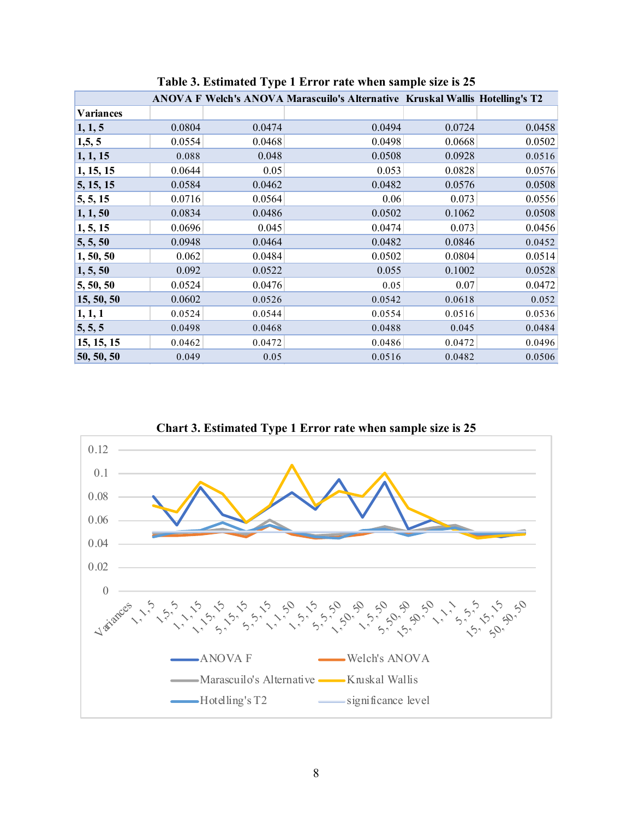|                  |        |        | ANOVA F Welch's ANOVA Marascuilo's Alternative Kruskal Wallis Hotelling's T2 |        |        |
|------------------|--------|--------|------------------------------------------------------------------------------|--------|--------|
| <b>Variances</b> |        |        |                                                                              |        |        |
| 1, 1, 5          | 0.0804 | 0.0474 | 0.0494                                                                       | 0.0724 | 0.0458 |
| 1, 5, 5          | 0.0554 | 0.0468 | 0.0498                                                                       | 0.0668 | 0.0502 |
| 1, 1, 15         | 0.088  | 0.048  | 0.0508                                                                       | 0.0928 | 0.0516 |
| 1, 15, 15        | 0.0644 | 0.05   | 0.053                                                                        | 0.0828 | 0.0576 |
| 5, 15, 15        | 0.0584 | 0.0462 | 0.0482                                                                       | 0.0576 | 0.0508 |
| 5, 5, 15         | 0.0716 | 0.0564 | 0.06                                                                         | 0.073  | 0.0556 |
| 1, 1, 50         | 0.0834 | 0.0486 | 0.0502                                                                       | 0.1062 | 0.0508 |
| 1, 5, 15         | 0.0696 | 0.045  | 0.0474                                                                       | 0.073  | 0.0456 |
| 5, 5, 50         | 0.0948 | 0.0464 | 0.0482                                                                       | 0.0846 | 0.0452 |
| 1, 50, 50        | 0.062  | 0.0484 | 0.0502                                                                       | 0.0804 | 0.0514 |
| 1, 5, 50         | 0.092  | 0.0522 | 0.055                                                                        | 0.1002 | 0.0528 |
| 5, 50, 50        | 0.0524 | 0.0476 | 0.05                                                                         | 0.07   | 0.0472 |
| 15, 50, 50       | 0.0602 | 0.0526 | 0.0542                                                                       | 0.0618 | 0.052  |
| 1, 1, 1          | 0.0524 | 0.0544 | 0.0554                                                                       | 0.0516 | 0.0536 |
| 5, 5, 5          | 0.0498 | 0.0468 | 0.0488                                                                       | 0.045  | 0.0484 |
| 15, 15, 15       | 0.0462 | 0.0472 | 0.0486                                                                       | 0.0472 | 0.0496 |
| 50, 50, 50       | 0.049  | 0.05   | 0.0516                                                                       | 0.0482 | 0.0506 |

**Table 3. Estimated Type 1 Error rate when sample size is 25**



**Chart 3. Estimated Type 1 Error rate when sample size is 25**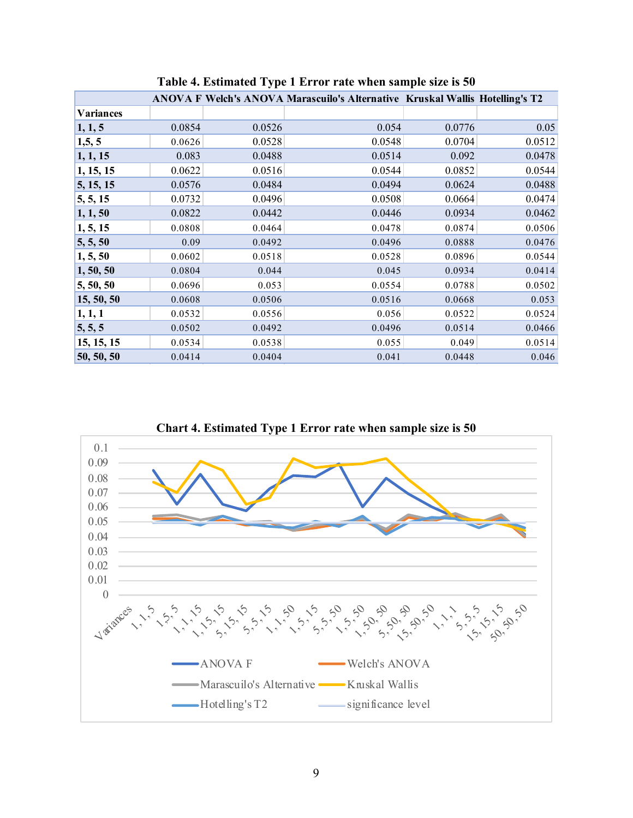|                         |        |        | ANOVA F Welch's ANOVA Marascuilo's Alternative Kruskal Wallis Hotelling's T2 |        |        |
|-------------------------|--------|--------|------------------------------------------------------------------------------|--------|--------|
| <b>Variances</b>        |        |        |                                                                              |        |        |
| 1, 1, 5                 | 0.0854 | 0.0526 | 0.054                                                                        | 0.0776 | 0.05   |
| 1,5,5                   | 0.0626 | 0.0528 | 0.0548                                                                       | 0.0704 | 0.0512 |
| 1, 1, 15                | 0.083  | 0.0488 | 0.0514                                                                       | 0.092  | 0.0478 |
| 1, 15, 15               | 0.0622 | 0.0516 | 0.0544                                                                       | 0.0852 | 0.0544 |
| $\vert 5, 15, 15 \vert$ | 0.0576 | 0.0484 | 0.0494                                                                       | 0.0624 | 0.0488 |
| 5, 5, 15                | 0.0732 | 0.0496 | 0.0508                                                                       | 0.0664 | 0.0474 |
| 1, 1, 50                | 0.0822 | 0.0442 | 0.0446                                                                       | 0.0934 | 0.0462 |
| 1, 5, 15                | 0.0808 | 0.0464 | 0.0478                                                                       | 0.0874 | 0.0506 |
| $\vert 5, 5, 50 \vert$  | 0.09   | 0.0492 | 0.0496                                                                       | 0.0888 | 0.0476 |
| 1, 5, 50                | 0.0602 | 0.0518 | 0.0528                                                                       | 0.0896 | 0.0544 |
| 1, 50, 50               | 0.0804 | 0.044  | 0.045                                                                        | 0.0934 | 0.0414 |
| $\vert 5, 50, 50 \vert$ | 0.0696 | 0.053  | 0.0554                                                                       | 0.0788 | 0.0502 |
| 15, 50, 50              | 0.0608 | 0.0506 | 0.0516                                                                       | 0.0668 | 0.053  |
| 1, 1, 1                 | 0.0532 | 0.0556 | 0.056                                                                        | 0.0522 | 0.0524 |
| 5, 5, 5                 | 0.0502 | 0.0492 | 0.0496                                                                       | 0.0514 | 0.0466 |
| 15, 15, 15              | 0.0534 | 0.0538 | 0.055                                                                        | 0.049  | 0.0514 |
| 50, 50, 50              | 0.0414 | 0.0404 | 0.041                                                                        | 0.0448 | 0.046  |

**Table 4. Estimated Type 1 Error rate when sample size is 50**



**Chart 4. Estimated Type 1 Error rate when sample size is 50**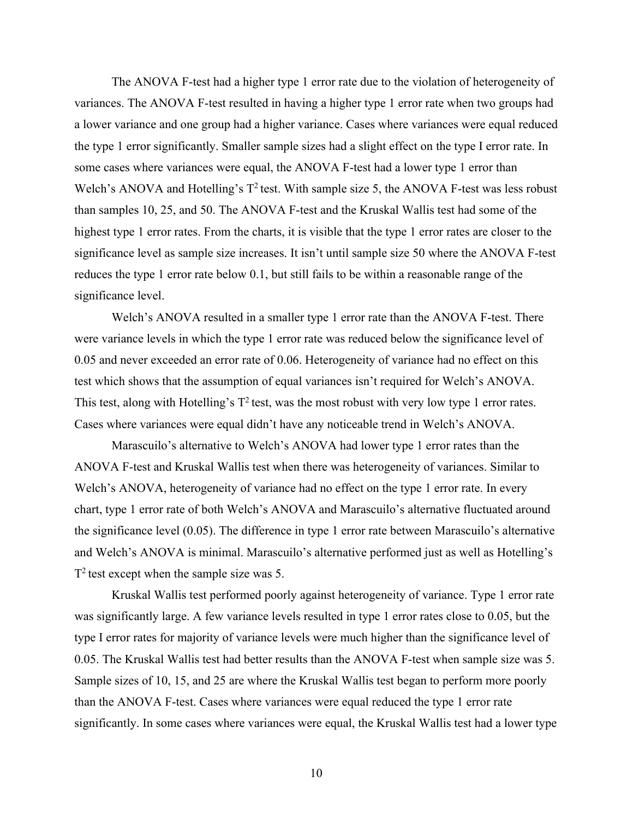The ANOVA F-test had a higher type 1 error rate due to the violation of heterogeneity of variances. The ANOVA F-test resulted in having a higher type 1 error rate when two groups had a lower variance and one group had a higher variance. Cases where variances were equal reduced the type 1 error significantly. Smaller sample sizes had a slight effect on the type I error rate. In some cases where variances were equal, the ANOVA F-test had a lower type 1 error than Welch's ANOVA and Hotelling's  $T^2$  test. With sample size 5, the ANOVA F-test was less robust than samples 10, 25, and 50. The ANOVA F-test and the Kruskal Wallis test had some of the highest type 1 error rates. From the charts, it is visible that the type 1 error rates are closer to the significance level as sample size increases. It isn't until sample size 50 where the ANOVA F-test reduces the type 1 error rate below 0.1, but still fails to be within a reasonable range of the significance level.

Welch's ANOVA resulted in a smaller type 1 error rate than the ANOVA F-test. There were variance levels in which the type 1 error rate was reduced below the significance level of 0.05 and never exceeded an error rate of 0.06. Heterogeneity of variance had no effect on this test which shows that the assumption of equal variances isn't required for Welch's ANOVA. This test, along with Hotelling's  $T^2$  test, was the most robust with very low type 1 error rates. Cases where variances were equal didn't have any noticeable trend in Welch's ANOVA.

Marascuilo's alternative to Welch's ANOVA had lower type 1 error rates than the ANOVA F-test and Kruskal Wallis test when there was heterogeneity of variances. Similar to Welch's ANOVA, heterogeneity of variance had no effect on the type 1 error rate. In every chart, type 1 error rate of both Welch's ANOVA and Marascuilo's alternative fluctuated around the significance level (0.05). The difference in type 1 error rate between Marascuilo's alternative and Welch's ANOVA is minimal. Marascuilo's alternative performed just as well as Hotelling's  $T^2$  test except when the sample size was 5.

Kruskal Wallis test performed poorly against heterogeneity of variance. Type 1 error rate was significantly large. A few variance levels resulted in type 1 error rates close to 0.05, but the type I error rates for majority of variance levels were much higher than the significance level of 0.05. The Kruskal Wallis test had better results than the ANOVA F-test when sample size was 5. Sample sizes of 10, 15, and 25 are where the Kruskal Wallis test began to perform more poorly than the ANOVA F-test. Cases where variances were equal reduced the type 1 error rate significantly. In some cases where variances were equal, the Kruskal Wallis test had a lower type

10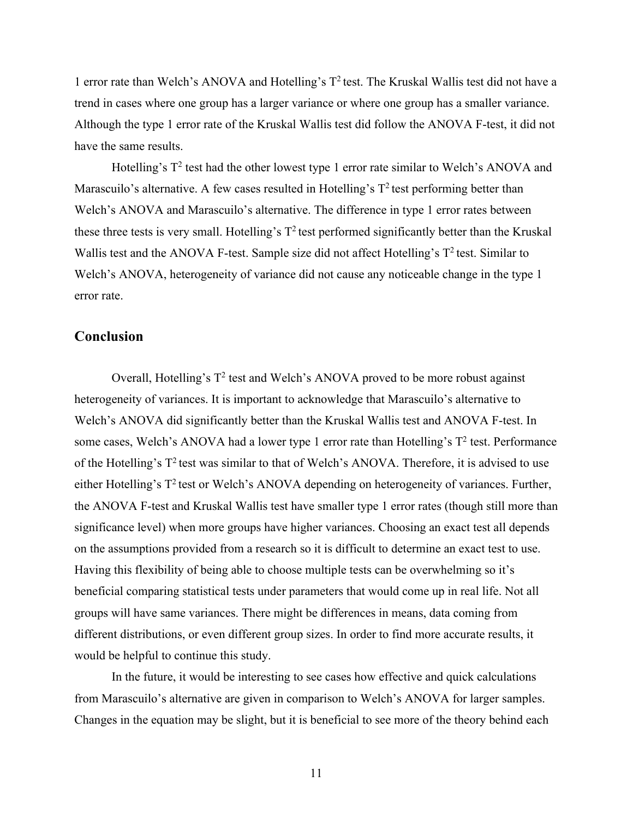1 error rate than Welch's ANOVA and Hotelling's  $T^2$  test. The Kruskal Wallis test did not have a trend in cases where one group has a larger variance or where one group has a smaller variance. Although the type 1 error rate of the Kruskal Wallis test did follow the ANOVA F-test, it did not have the same results.

Hotelling's  $T^2$  test had the other lowest type 1 error rate similar to Welch's ANOVA and Marascuilo's alternative. A few cases resulted in Hotelling's  $T^2$  test performing better than Welch's ANOVA and Marascuilo's alternative. The difference in type 1 error rates between these three tests is very small. Hotelling's  $T^2$  test performed significantly better than the Kruskal Wallis test and the ANOVA F-test. Sample size did not affect Hotelling's  $T^2$  test. Similar to Welch's ANOVA, heterogeneity of variance did not cause any noticeable change in the type 1 error rate.

#### **Conclusion**

Overall, Hotelling's  $T^2$  test and Welch's ANOVA proved to be more robust against heterogeneity of variances. It is important to acknowledge that Marascuilo's alternative to Welch's ANOVA did significantly better than the Kruskal Wallis test and ANOVA F-test. In some cases, Welch's ANOVA had a lower type 1 error rate than Hotelling's  $T^2$  test. Performance of the Hotelling's  $T^2$  test was similar to that of Welch's ANOVA. Therefore, it is advised to use either Hotelling's  $T^2$  test or Welch's ANOVA depending on heterogeneity of variances. Further, the ANOVA F-test and Kruskal Wallis test have smaller type 1 error rates (though still more than significance level) when more groups have higher variances. Choosing an exact test all depends on the assumptions provided from a research so it is difficult to determine an exact test to use. Having this flexibility of being able to choose multiple tests can be overwhelming so it's beneficial comparing statistical tests under parameters that would come up in real life. Not all groups will have same variances. There might be differences in means, data coming from different distributions, or even different group sizes. In order to find more accurate results, it would be helpful to continue this study.

In the future, it would be interesting to see cases how effective and quick calculations from Marascuilo's alternative are given in comparison to Welch's ANOVA for larger samples. Changes in the equation may be slight, but it is beneficial to see more of the theory behind each

11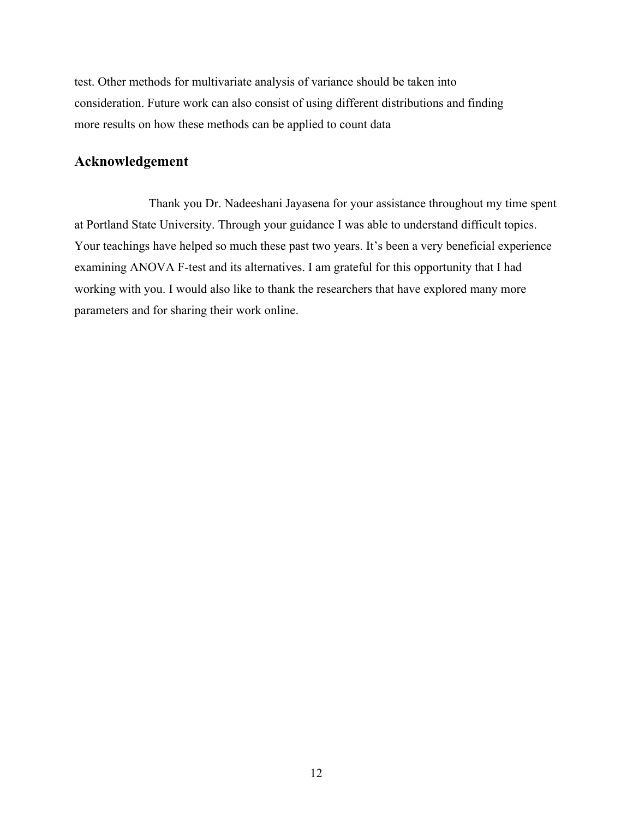test. Other methods for multivariate analysis of variance should be taken into consideration. Future work can also consist of using different distributions and finding more results on how these methods can be applied to count data

### **Acknowledgement**

Thank you Dr. Nadeeshani Jayasena for your assistance throughout my time spent at Portland State University. Through your guidance I was able to understand difficult topics. Your teachings have helped so much these past two years. It's been a very beneficial experience examining ANOVA F-test and its alternatives. I am grateful for this opportunity that I had working with you. I would also like to thank the researchers that have explored many more parameters and for sharing their work online.